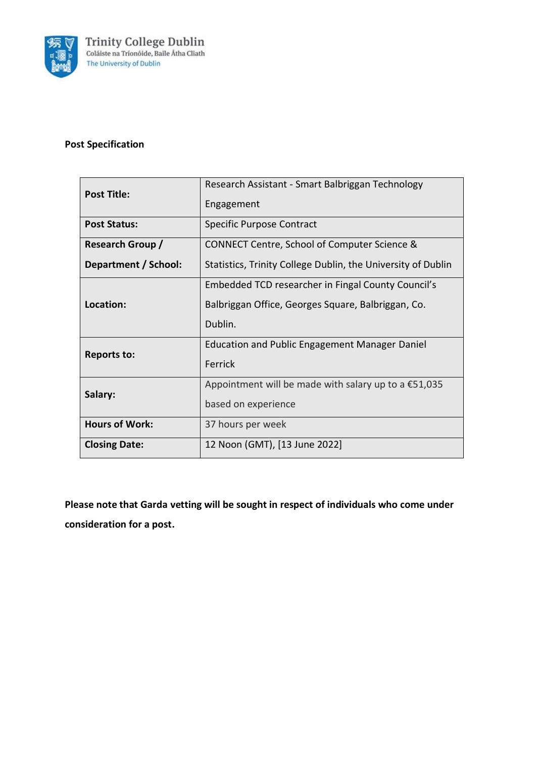

# **Post Specification**

| <b>Post Title:</b>      |                                                              |  |
|-------------------------|--------------------------------------------------------------|--|
|                         | Research Assistant - Smart Balbriggan Technology             |  |
|                         | Engagement                                                   |  |
|                         |                                                              |  |
| <b>Post Status:</b>     | Specific Purpose Contract                                    |  |
| <b>Research Group /</b> | CONNECT Centre, School of Computer Science &                 |  |
|                         |                                                              |  |
| Department / School:    | Statistics, Trinity College Dublin, the University of Dublin |  |
| Location:               | Embedded TCD researcher in Fingal County Council's           |  |
|                         | Balbriggan Office, Georges Square, Balbriggan, Co.           |  |
|                         | Dublin.                                                      |  |
| <b>Reports to:</b>      | <b>Education and Public Engagement Manager Daniel</b>        |  |
|                         | Ferrick                                                      |  |
| Salary:                 | Appointment will be made with salary up to a $£51,035$       |  |
|                         | based on experience                                          |  |
| <b>Hours of Work:</b>   | 37 hours per week                                            |  |
| <b>Closing Date:</b>    | 12 Noon (GMT), [13 June 2022]                                |  |

**Please note that Garda vetting will be sought in respect of individuals who come under consideration for a post.**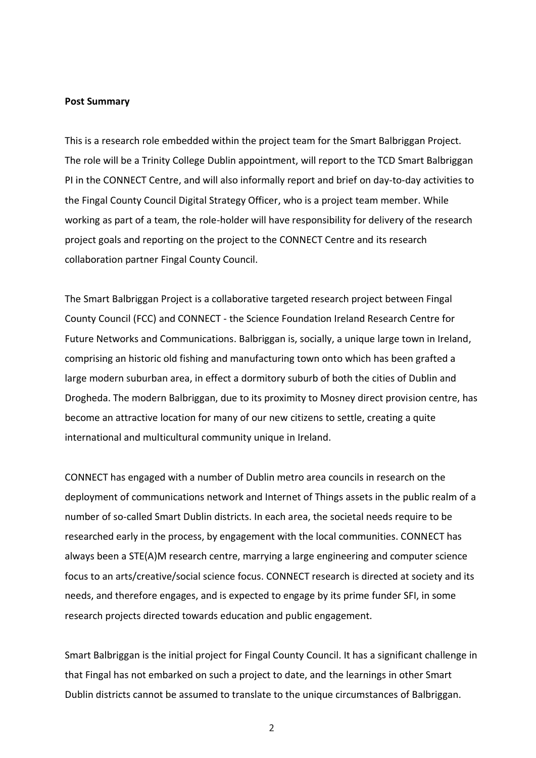#### **Post Summary**

This is a research role embedded within the project team for the Smart Balbriggan Project. The role will be a Trinity College Dublin appointment, will report to the TCD Smart Balbriggan PI in the CONNECT Centre, and will also informally report and brief on day-to-day activities to the Fingal County Council Digital Strategy Officer, who is a project team member. While working as part of a team, the role-holder will have responsibility for delivery of the research project goals and reporting on the project to the CONNECT Centre and its research collaboration partner Fingal County Council.

The Smart Balbriggan Project is a collaborative targeted research project between Fingal County Council (FCC) and CONNECT - the Science Foundation Ireland Research Centre for Future Networks and Communications. Balbriggan is, socially, a unique large town in Ireland, comprising an historic old fishing and manufacturing town onto which has been grafted a large modern suburban area, in effect a dormitory suburb of both the cities of Dublin and Drogheda. The modern Balbriggan, due to its proximity to Mosney direct provision centre, has become an attractive location for many of our new citizens to settle, creating a quite international and multicultural community unique in Ireland.

CONNECT has engaged with a number of Dublin metro area councils in research on the deployment of communications network and Internet of Things assets in the public realm of a number of so-called Smart Dublin districts. In each area, the societal needs require to be researched early in the process, by engagement with the local communities. CONNECT has always been a STE(A)M research centre, marrying a large engineering and computer science focus to an arts/creative/social science focus. CONNECT research is directed at society and its needs, and therefore engages, and is expected to engage by its prime funder SFI, in some research projects directed towards education and public engagement.

Smart Balbriggan is the initial project for Fingal County Council. It has a significant challenge in that Fingal has not embarked on such a project to date, and the learnings in other Smart Dublin districts cannot be assumed to translate to the unique circumstances of Balbriggan.

2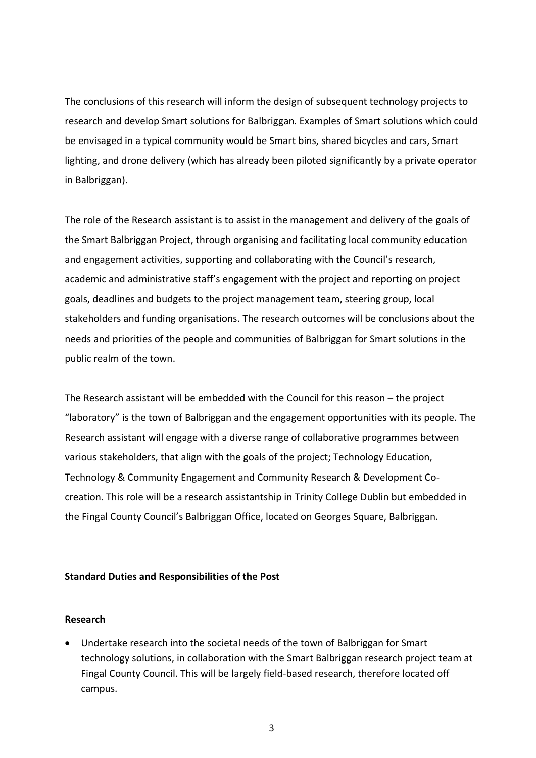The conclusions of this research will inform the design of subsequent technology projects to research and develop Smart solutions for Balbriggan. Examples of Smart solutions which could be envisaged in a typical community would be Smart bins, shared bicycles and cars, Smart lighting, and drone delivery (which has already been piloted significantly by a private operator in Balbriggan).

The role of the Research assistant is to assist in the management and delivery of the goals of the Smart Balbriggan Project, through organising and facilitating local community education and engagement activities, supporting and collaborating with the Council's research, academic and administrative staff's engagement with the project and reporting on project goals, deadlines and budgets to the project management team, steering group, local stakeholders and funding organisations. The research outcomes will be conclusions about the needs and priorities of the people and communities of Balbriggan for Smart solutions in the public realm of the town.

The Research assistant will be embedded with the Council for this reason – the project "laboratory" is the town of Balbriggan and the engagement opportunities with its people. The Research assistant will engage with a diverse range of collaborative programmes between various stakeholders, that align with the goals of the project; Technology Education, Technology & Community Engagement and Community Research & Development Cocreation. This role will be a research assistantship in Trinity College Dublin but embedded in the Fingal County Council's Balbriggan Office, located on Georges Square, Balbriggan.

#### **Standard Duties and Responsibilities of the Post**

#### **Research**

• Undertake research into the societal needs of the town of Balbriggan for Smart technology solutions, in collaboration with the Smart Balbriggan research project team at Fingal County Council. This will be largely field-based research, therefore located off campus.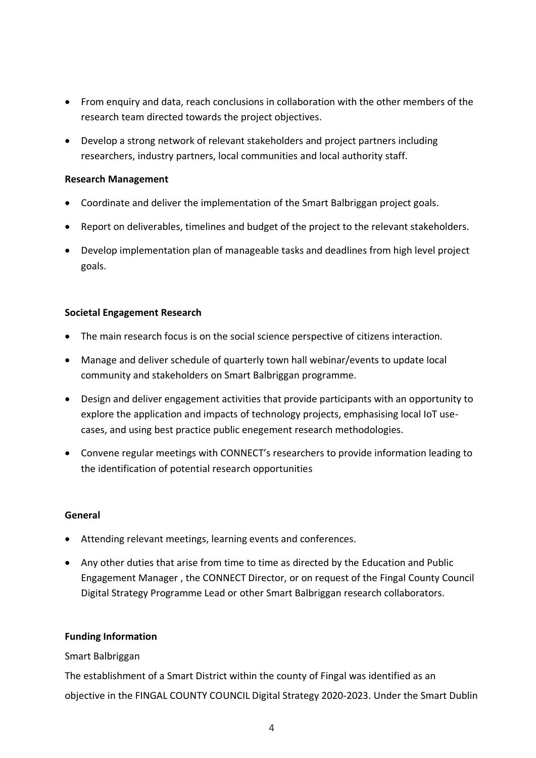- From enquiry and data, reach conclusions in collaboration with the other members of the research team directed towards the project objectives.
- Develop a strong network of relevant stakeholders and project partners including researchers, industry partners, local communities and local authority staff.

## **Research Management**

- Coordinate and deliver the implementation of the Smart Balbriggan project goals.
- Report on deliverables, timelines and budget of the project to the relevant stakeholders.
- Develop implementation plan of manageable tasks and deadlines from high level project goals.

## **Societal Engagement Research**

- The main research focus is on the social science perspective of citizens interaction.
- Manage and deliver schedule of quarterly town hall webinar/events to update local community and stakeholders on Smart Balbriggan programme.
- Design and deliver engagement activities that provide participants with an opportunity to explore the application and impacts of technology projects, emphasising local IoT usecases, and using best practice public enegement research methodologies.
- Convene regular meetings with CONNECT's researchers to provide information leading to the identification of potential research opportunities

#### **General**

- Attending relevant meetings, learning events and conferences.
- Any other duties that arise from time to time as directed by the Education and Public Engagement Manager , the CONNECT Director, or on request of the Fingal County Council Digital Strategy Programme Lead or other Smart Balbriggan research collaborators.

#### **Funding Information**

## Smart Balbriggan

The establishment of a Smart District within the county of Fingal was identified as an objective in the FINGAL COUNTY COUNCIL Digital Strategy 2020-2023. Under the Smart Dublin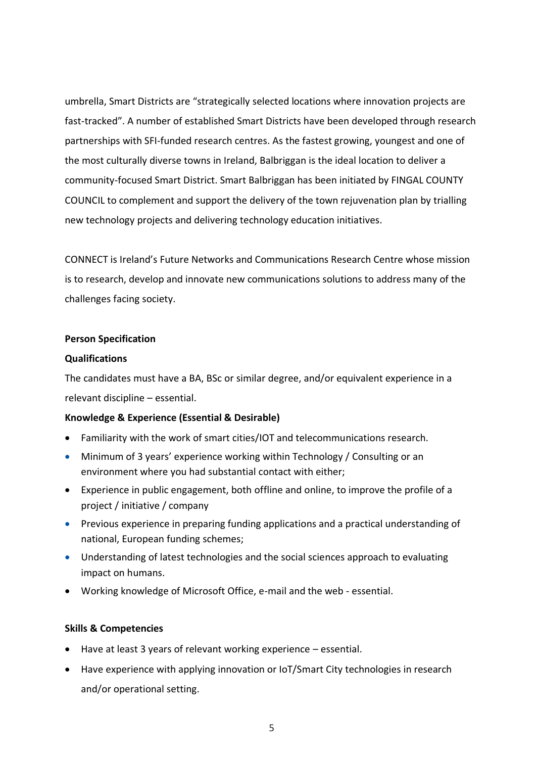umbrella, Smart Districts are "strategically selected locations where innovation projects are fast-tracked". A number of established Smart Districts have been developed through research partnerships with SFI-funded research centres. As the fastest growing, youngest and one of the most culturally diverse towns in Ireland, Balbriggan is the ideal location to deliver a community-focused Smart District. Smart Balbriggan has been initiated by FINGAL COUNTY COUNCIL to complement and support the delivery of the town rejuvenation plan by trialling new technology projects and delivering technology education initiatives.

CONNECT is Ireland's Future Networks and Communications Research Centre whose mission is to research, develop and innovate new communications solutions to address many of the challenges facing society.

#### **Person Specification**

## **Qualifications**

The candidates must have a BA, BSc or similar degree, and/or equivalent experience in a relevant discipline – essential.

## **Knowledge & Experience (Essential & Desirable)**

- Familiarity with the work of smart cities/IOT and telecommunications research.
- Minimum of 3 years' experience working within Technology / Consulting or an environment where you had substantial contact with either;
- Experience in public engagement, both offline and online, to improve the profile of a project / initiative / company
- Previous experience in preparing funding applications and a practical understanding of national, European funding schemes;
- Understanding of latest technologies and the social sciences approach to evaluating impact on humans.
- Working knowledge of Microsoft Office, e-mail and the web essential.

## **Skills & Competencies**

- Have at least 3 years of relevant working experience essential.
- Have experience with applying innovation or IoT/Smart City technologies in research and/or operational setting.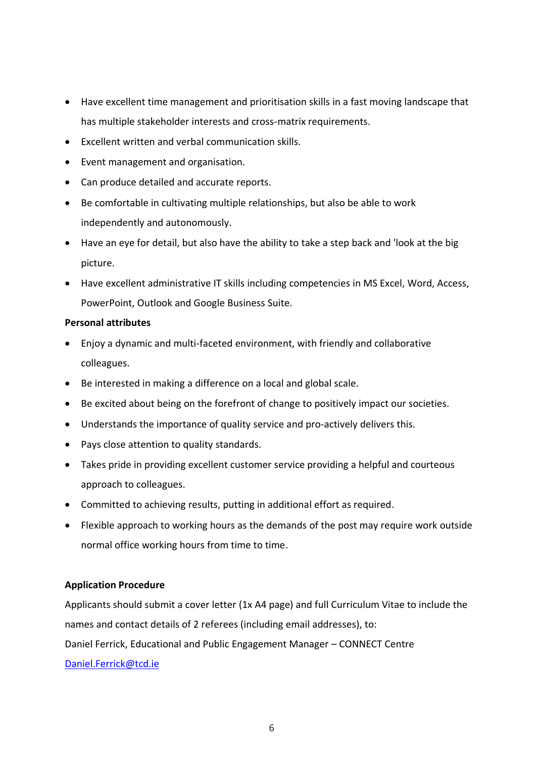- Have excellent time management and prioritisation skills in a fast moving landscape that has multiple stakeholder interests and cross-matrix requirements.
- Excellent written and verbal communication skills.
- Event management and organisation.
- Can produce detailed and accurate reports.
- Be comfortable in cultivating multiple relationships, but also be able to work independently and autonomously.
- Have an eye for detail, but also have the ability to take a step back and 'look at the big picture.
- Have excellent administrative IT skills including competencies in MS Excel, Word, Access, PowerPoint, Outlook and Google Business Suite.

## **Personal attributes**

- Enjoy a dynamic and multi-faceted environment, with friendly and collaborative colleagues.
- Be interested in making a difference on a local and global scale.
- Be excited about being on the forefront of change to positively impact our societies.
- Understands the importance of quality service and pro-actively delivers this.
- Pays close attention to quality standards.
- Takes pride in providing excellent customer service providing a helpful and courteous approach to colleagues.
- Committed to achieving results, putting in additional effort as required.
- Flexible approach to working hours as the demands of the post may require work outside normal office working hours from time to time.

#### **Application Procedure**

Applicants should submit a cover letter (1x A4 page) and full Curriculum Vitae to include the names and contact details of 2 referees (including email addresses), to: Daniel Ferrick, Educational and Public Engagement Manager – CONNECT Centre [Daniel.Ferrick@tcd.ie](mailto:Daniel.Ferrick@tcd.ie)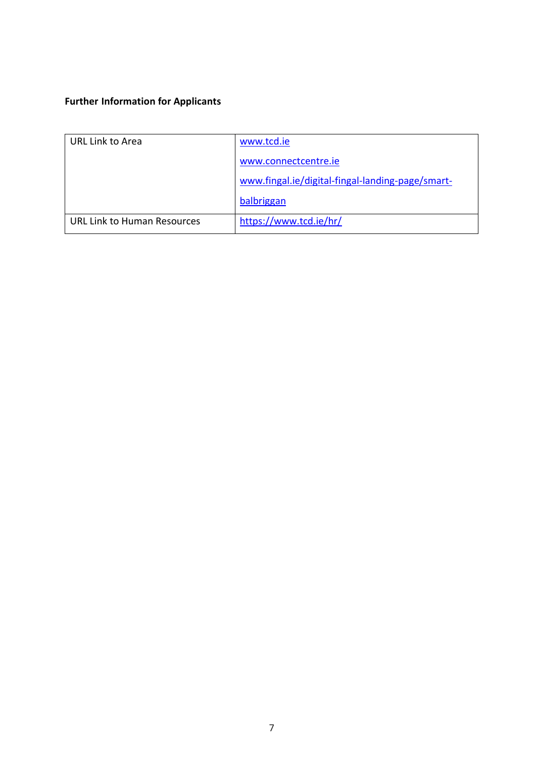# **Further Information for Applicants**

| <b>URL Link to Area</b>            | www.tcd.ie                                       |
|------------------------------------|--------------------------------------------------|
|                                    | www.connectcentre.ie                             |
|                                    | www.fingal.ie/digital-fingal-landing-page/smart- |
|                                    | balbriggan                                       |
| <b>URL Link to Human Resources</b> | https://www.tcd.ie/hr/                           |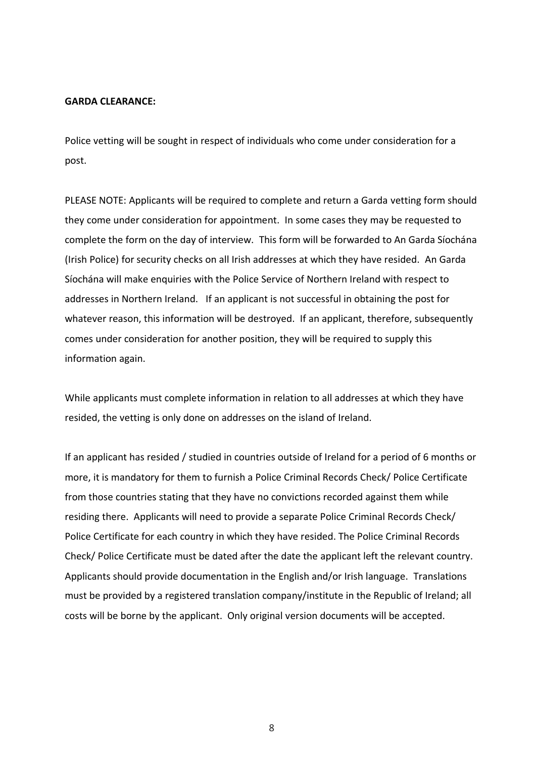#### **GARDA CLEARANCE:**

Police vetting will be sought in respect of individuals who come under consideration for a post.

PLEASE NOTE: Applicants will be required to complete and return a Garda vetting form should they come under consideration for appointment. In some cases they may be requested to complete the form on the day of interview. This form will be forwarded to An Garda Síochána (Irish Police) for security checks on all Irish addresses at which they have resided. An Garda Síochána will make enquiries with the Police Service of Northern Ireland with respect to addresses in Northern Ireland. If an applicant is not successful in obtaining the post for whatever reason, this information will be destroyed. If an applicant, therefore, subsequently comes under consideration for another position, they will be required to supply this information again.

While applicants must complete information in relation to all addresses at which they have resided, the vetting is only done on addresses on the island of Ireland.

If an applicant has resided / studied in countries outside of Ireland for a period of 6 months or more, it is mandatory for them to furnish a Police Criminal Records Check/ Police Certificate from those countries stating that they have no convictions recorded against them while residing there. Applicants will need to provide a separate Police Criminal Records Check/ Police Certificate for each country in which they have resided. The Police Criminal Records Check/ Police Certificate must be dated after the date the applicant left the relevant country. Applicants should provide documentation in the English and/or Irish language. Translations must be provided by a registered translation company/institute in the Republic of Ireland; all costs will be borne by the applicant. Only original version documents will be accepted.

8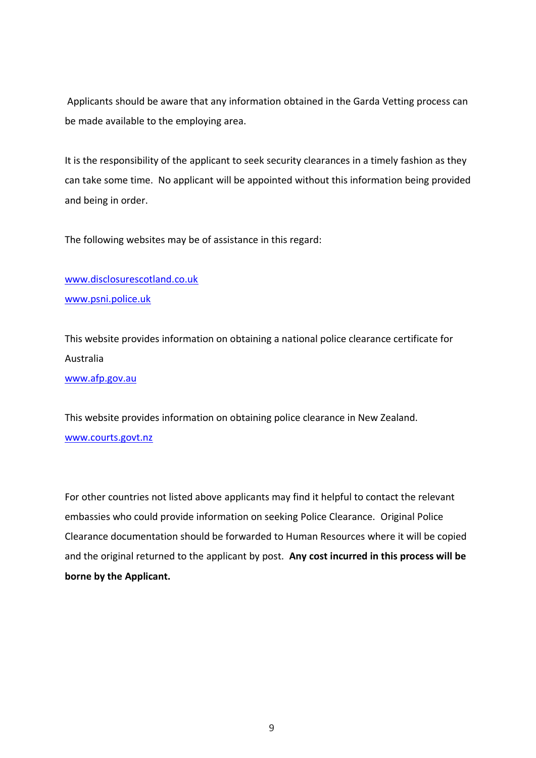Applicants should be aware that any information obtained in the Garda Vetting process can be made available to the employing area.

It is the responsibility of the applicant to seek security clearances in a timely fashion as they can take some time. No applicant will be appointed without this information being provided and being in order.

The following websites may be of assistance in this regard:

[www.disclosurescotland.co.uk](http://www.disclosurescotland.co.uk/) [www.psni.police.uk](http://www.psni.police.uk/)

This website provides information on obtaining a national police clearance certificate for Australia

[www.afp.gov.au](http://www.afp.gov.au/)

This website provides information on obtaining police clearance in New Zealand. [www.courts.govt.nz](http://www.courts.govt.nz/)

For other countries not listed above applicants may find it helpful to contact the relevant embassies who could provide information on seeking Police Clearance. Original Police Clearance documentation should be forwarded to Human Resources where it will be copied and the original returned to the applicant by post. **Any cost incurred in this process will be borne by the Applicant.**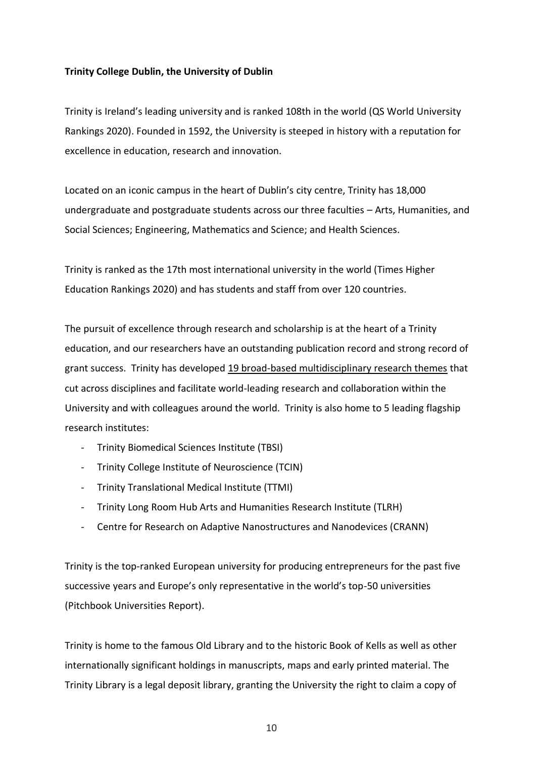#### **Trinity College Dublin, the University of Dublin**

Trinity is Ireland's leading university and is ranked 108th in the world (QS World University Rankings 2020). Founded in 1592, the University is steeped in history with a reputation for excellence in education, research and innovation.

Located on an iconic campus in the heart of Dublin's city centre, Trinity has 18,000 undergraduate and postgraduate students across our three faculties – Arts, Humanities, and Social Sciences; Engineering, Mathematics and Science; and Health Sciences.

Trinity is ranked as the 17th most international university in the world (Times Higher Education Rankings 2020) and has students and staff from over 120 countries.

The pursuit of excellence through research and scholarship is at the heart of a Trinity education, and our researchers have an outstanding publication record and strong record of grant success. Trinity has developed [19 broad-based multidisciplinary research themes](https://www.tcd.ie/research/themes/) that cut across disciplines and facilitate world-leading research and collaboration within the University and with colleagues around the world. Trinity is also home to 5 leading flagship research institutes:

- Trinity Biomedical Sciences Institute (TBSI)
- Trinity College Institute of Neuroscience (TCIN)
- Trinity Translational Medical Institute (TTMI)
- Trinity Long Room Hub Arts and Humanities Research Institute (TLRH)
- Centre for Research on Adaptive Nanostructures and Nanodevices (CRANN)

Trinity is the top-ranked European university for producing entrepreneurs for the past five successive years and Europe's only representative in the world's top-50 universities (Pitchbook Universities Report).

Trinity is home to the famous Old Library and to the historic Book of Kells as well as other internationally significant holdings in manuscripts, maps and early printed material. The Trinity Library is a legal deposit library, granting the University the right to claim a copy of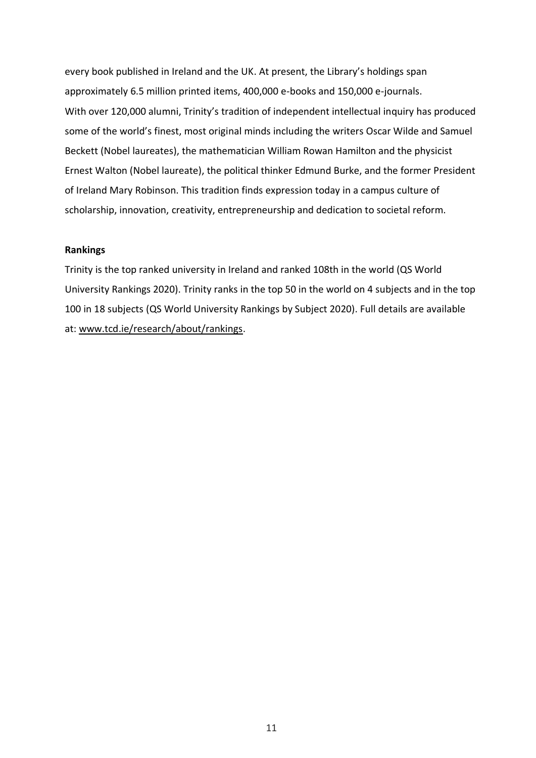every book published in Ireland and the UK. At present, the Library's holdings span approximately 6.5 million printed items, 400,000 e-books and 150,000 e-journals. With over 120,000 alumni, Trinity's tradition of independent intellectual inquiry has produced some of the world's finest, most original minds including the writers Oscar Wilde and Samuel Beckett (Nobel laureates), the mathematician William Rowan Hamilton and the physicist Ernest Walton (Nobel laureate), the political thinker Edmund Burke, and the former President of Ireland Mary Robinson. This tradition finds expression today in a campus culture of scholarship, innovation, creativity, entrepreneurship and dedication to societal reform.

#### **Rankings**

Trinity is the top ranked university in Ireland and ranked 108th in the world (QS World University Rankings 2020). Trinity ranks in the top 50 in the world on 4 subjects and in the top 100 in 18 subjects (QS World University Rankings by Subject 2020). Full details are available at[: www.tcd.ie/research/about/rankings.](http://www.tcd.ie/research/about/rankings)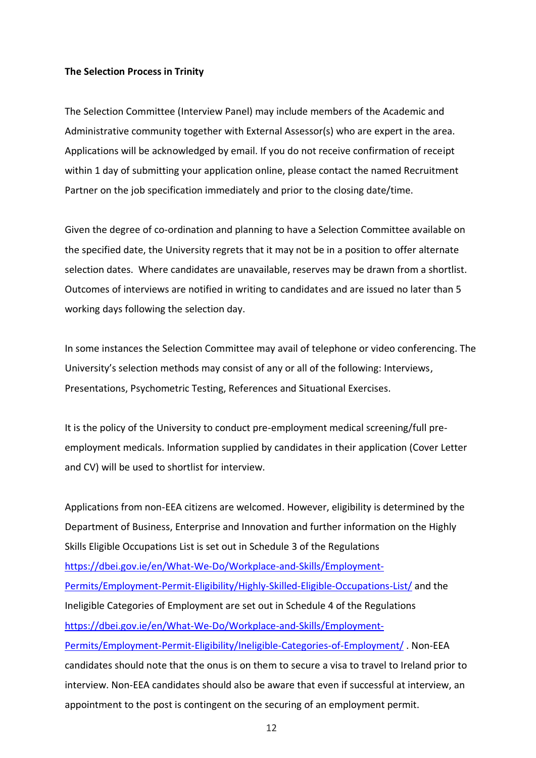#### **The Selection Process in Trinity**

The Selection Committee (Interview Panel) may include members of the Academic and Administrative community together with External Assessor(s) who are expert in the area. Applications will be acknowledged by email. If you do not receive confirmation of receipt within 1 day of submitting your application online, please contact the named Recruitment Partner on the job specification immediately and prior to the closing date/time.

Given the degree of co-ordination and planning to have a Selection Committee available on the specified date, the University regrets that it may not be in a position to offer alternate selection dates. Where candidates are unavailable, reserves may be drawn from a shortlist. Outcomes of interviews are notified in writing to candidates and are issued no later than 5 working days following the selection day.

In some instances the Selection Committee may avail of telephone or video conferencing. The University's selection methods may consist of any or all of the following: Interviews, Presentations, Psychometric Testing, References and Situational Exercises.

It is the policy of the University to conduct pre-employment medical screening/full preemployment medicals. Information supplied by candidates in their application (Cover Letter and CV) will be used to shortlist for interview.

Applications from non-EEA citizens are welcomed. However, eligibility is determined by the Department of Business, Enterprise and Innovation and further information on the Highly Skills Eligible Occupations List is set out in Schedule 3 of the Regulations [https://dbei.gov.ie/en/What-We-Do/Workplace-and-Skills/Employment-](https://dbei.gov.ie/en/What-We-Do/Workplace-and-Skills/Employment-Permits/Employment-Permit-Eligibility/Highly-Skilled-Eligible-Occupations-List/)[Permits/Employment-Permit-Eligibility/Highly-Skilled-Eligible-Occupations-List/](https://dbei.gov.ie/en/What-We-Do/Workplace-and-Skills/Employment-Permits/Employment-Permit-Eligibility/Highly-Skilled-Eligible-Occupations-List/) and the Ineligible Categories of Employment are set out in Schedule 4 of the Regulations [https://dbei.gov.ie/en/What-We-Do/Workplace-and-Skills/Employment-](https://dbei.gov.ie/en/What-We-Do/Workplace-and-Skills/Employment-Permits/Employment-Permit-Eligibility/Ineligible-Categories-of-Employment/)[Permits/Employment-Permit-Eligibility/Ineligible-Categories-of-Employment/](https://dbei.gov.ie/en/What-We-Do/Workplace-and-Skills/Employment-Permits/Employment-Permit-Eligibility/Ineligible-Categories-of-Employment/) . Non-EEA candidates should note that the onus is on them to secure a visa to travel to Ireland prior to interview. Non-EEA candidates should also be aware that even if successful at interview, an appointment to the post is contingent on the securing of an employment permit.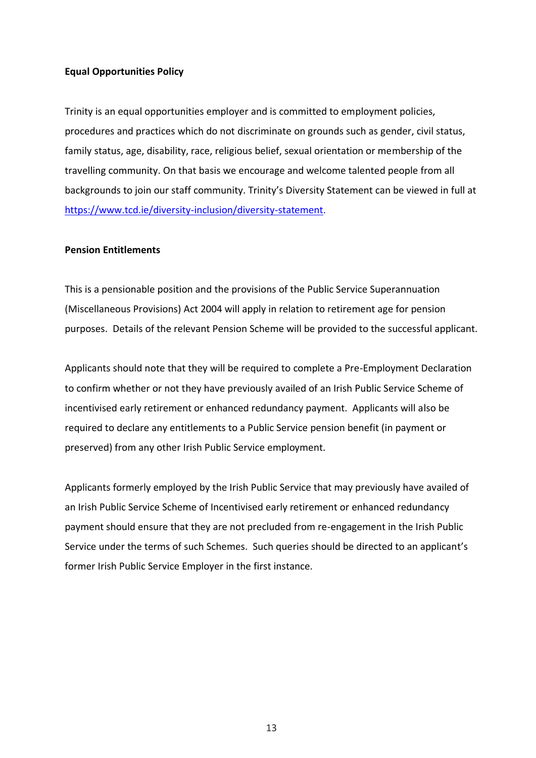#### **Equal Opportunities Policy**

Trinity is an equal opportunities employer and is committed to employment policies, procedures and practices which do not discriminate on grounds such as gender, civil status, family status, age, disability, race, religious belief, sexual orientation or membership of the travelling community. On that basis we encourage and welcome talented people from all backgrounds to join our staff community. Trinity's Diversity Statement can be viewed in full at [https://www.tcd.ie/diversity-inclusion/diversity-statement.](https://www.tcd.ie/diversity-inclusion/diversity-statement)

#### **Pension Entitlements**

This is a pensionable position and the provisions of the Public Service Superannuation (Miscellaneous Provisions) Act 2004 will apply in relation to retirement age for pension purposes. Details of the relevant Pension Scheme will be provided to the successful applicant.

Applicants should note that they will be required to complete a Pre-Employment Declaration to confirm whether or not they have previously availed of an Irish Public Service Scheme of incentivised early retirement or enhanced redundancy payment. Applicants will also be required to declare any entitlements to a Public Service pension benefit (in payment or preserved) from any other Irish Public Service employment.

Applicants formerly employed by the Irish Public Service that may previously have availed of an Irish Public Service Scheme of Incentivised early retirement or enhanced redundancy payment should ensure that they are not precluded from re-engagement in the Irish Public Service under the terms of such Schemes. Such queries should be directed to an applicant's former Irish Public Service Employer in the first instance.

13